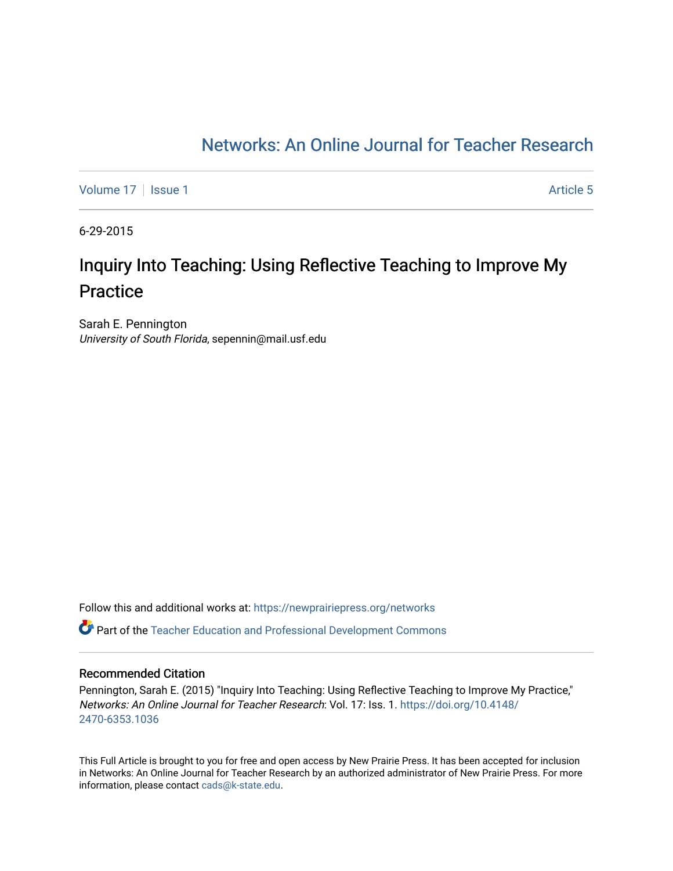## [Networks: An Online Journal for Teacher Research](https://newprairiepress.org/networks)

[Volume 17](https://newprairiepress.org/networks/vol17) | [Issue 1](https://newprairiepress.org/networks/vol17/iss1) Article 5

6-29-2015

# Inquiry Into Teaching: Using Reflective Teaching to Improve My Practice

Sarah E. Pennington University of South Florida, sepennin@mail.usf.edu

Follow this and additional works at: [https://newprairiepress.org/networks](https://newprairiepress.org/networks?utm_source=newprairiepress.org%2Fnetworks%2Fvol17%2Fiss1%2F5&utm_medium=PDF&utm_campaign=PDFCoverPages) Part of the [Teacher Education and Professional Development Commons](http://network.bepress.com/hgg/discipline/803?utm_source=newprairiepress.org%2Fnetworks%2Fvol17%2Fiss1%2F5&utm_medium=PDF&utm_campaign=PDFCoverPages) 

#### Recommended Citation

Pennington, Sarah E. (2015) "Inquiry Into Teaching: Using Reflective Teaching to Improve My Practice," Networks: An Online Journal for Teacher Research: Vol. 17: Iss. 1. [https://doi.org/10.4148/](https://doi.org/10.4148/2470-6353.1036) [2470-6353.1036](https://doi.org/10.4148/2470-6353.1036) 

This Full Article is brought to you for free and open access by New Prairie Press. It has been accepted for inclusion in Networks: An Online Journal for Teacher Research by an authorized administrator of New Prairie Press. For more information, please contact [cads@k-state.edu](mailto:cads@k-state.edu).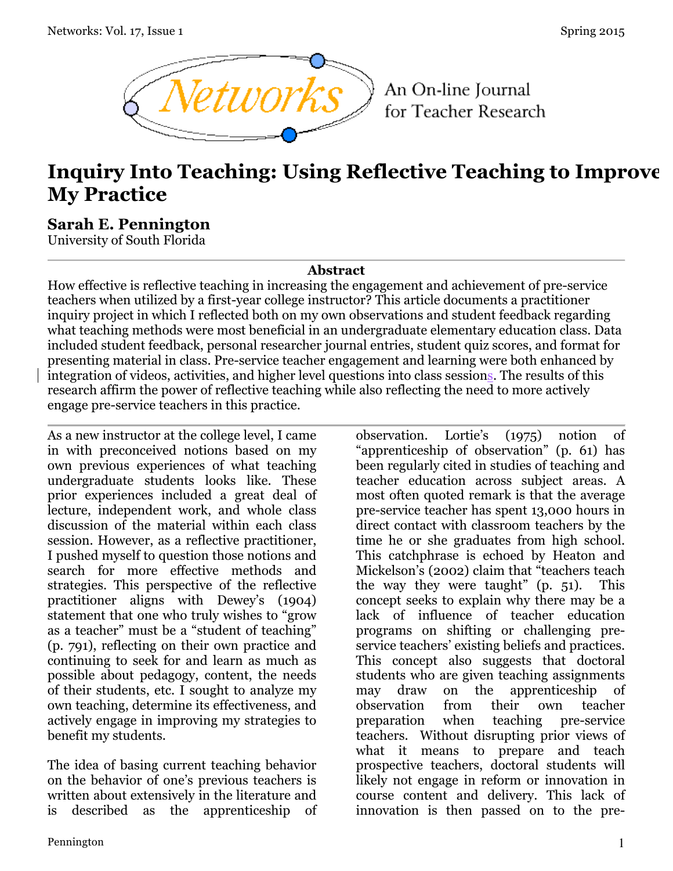

An On-line Journal for Teacher Research

# **Inquiry Into Teaching: Using Reflective Teaching to Improve My Practice**

### **Sarah E. Pennington**

University of South Florida

#### **Abstract**

How effective is reflective teaching in increasing the engagement and achievement of pre-service teachers when utilized by a first-year college instructor? This article documents a practitioner inquiry project in which I reflected both on my own observations and student feedback regarding what teaching methods were most beneficial in an undergraduate elementary education class. Data included student feedback, personal researcher journal entries, student quiz scores, and format for presenting material in class. Pre-service teacher engagement and learning were both enhanced by integration of videos, activities, and higher level questions into class sessions. The results of this research affirm the power of reflective teaching while also reflecting the need to more actively engage pre-service teachers in this practice.

As a new instructor at the college level, I came in with preconceived notions based on my own previous experiences of what teaching undergraduate students looks like. These prior experiences included a great deal of lecture, independent work, and whole class discussion of the material within each class session. However, as a reflective practitioner, I pushed myself to question those notions and search for more effective methods and strategies. This perspective of the reflective practitioner aligns with Dewey's (1904) statement that one who truly wishes to "grow as a teacher" must be a "student of teaching" (p. 791), reflecting on their own practice and continuing to seek for and learn as much as possible about pedagogy, content, the needs of their students, etc. I sought to analyze my own teaching, determine its effectiveness, and actively engage in improving my strategies to benefit my students.

The idea of basing current teaching behavior on the behavior of one's previous teachers is written about extensively in the literature and is described as the apprenticeship of

observation. Lortie's (1975) notion of "apprenticeship of observation" (p. 61) has been regularly cited in studies of teaching and teacher education across subject areas. A most often quoted remark is that the average pre-service teacher has spent 13,000 hours in direct contact with classroom teachers by the time he or she graduates from high school. This catchphrase is echoed by Heaton and Mickelson's (2002) claim that "teachers teach the way they were taught" (p. 51). This concept seeks to explain why there may be a lack of influence of teacher education programs on shifting or challenging preservice teachers' existing beliefs and practices. This concept also suggests that doctoral students who are given teaching assignments may draw on the apprenticeship of observation from their own teacher preparation when teaching pre-service teachers. Without disrupting prior views of what it means to prepare and teach prospective teachers, doctoral students will likely not engage in reform or innovation in course content and delivery. This lack of innovation is then passed on to the pre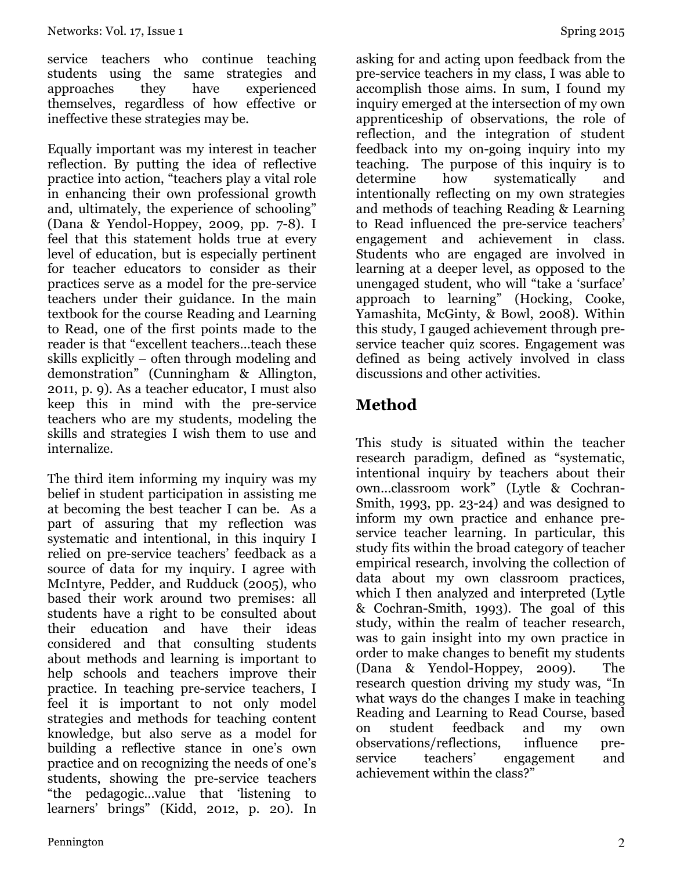service teachers who continue teaching students using the same strategies and approaches they have experienced themselves, regardless of how effective or ineffective these strategies may be.

Equally important was my interest in teacher reflection. By putting the idea of reflective practice into action, "teachers play a vital role in enhancing their own professional growth and, ultimately, the experience of schooling" (Dana & Yendol-Hoppey, 2009, pp. 7-8). I feel that this statement holds true at every level of education, but is especially pertinent for teacher educators to consider as their practices serve as a model for the pre-service teachers under their guidance. In the main textbook for the course Reading and Learning to Read, one of the first points made to the reader is that "excellent teachers…teach these skills explicitly – often through modeling and demonstration" (Cunningham & Allington, 2011, p. 9). As a teacher educator, I must also keep this in mind with the pre-service teachers who are my students, modeling the skills and strategies I wish them to use and internalize.

The third item informing my inquiry was my belief in student participation in assisting me at becoming the best teacher I can be. As a part of assuring that my reflection was systematic and intentional, in this inquiry I relied on pre-service teachers' feedback as a source of data for my inquiry. I agree with McIntyre, Pedder, and Rudduck (2005), who based their work around two premises: all students have a right to be consulted about their education and have their ideas considered and that consulting students about methods and learning is important to help schools and teachers improve their practice. In teaching pre-service teachers, I feel it is important to not only model strategies and methods for teaching content knowledge, but also serve as a model for building a reflective stance in one's own practice and on recognizing the needs of one's students, showing the pre-service teachers "the pedagogic…value that 'listening to learners' brings" (Kidd, 2012, p. 20). In

asking for and acting upon feedback from the pre-service teachers in my class, I was able to accomplish those aims. In sum, I found my inquiry emerged at the intersection of my own apprenticeship of observations, the role of reflection, and the integration of student feedback into my on-going inquiry into my teaching. The purpose of this inquiry is to determine how systematically and intentionally reflecting on my own strategies and methods of teaching Reading & Learning to Read influenced the pre-service teachers' engagement and achievement in class. Students who are engaged are involved in learning at a deeper level, as opposed to the unengaged student, who will "take a 'surface' approach to learning" (Hocking, Cooke, Yamashita, McGinty, & Bowl, 2008). Within this study, I gauged achievement through preservice teacher quiz scores. Engagement was defined as being actively involved in class discussions and other activities.

## **Method**

This study is situated within the teacher research paradigm, defined as "systematic, intentional inquiry by teachers about their own…classroom work" (Lytle & Cochran-Smith, 1993, pp. 23-24) and was designed to inform my own practice and enhance preservice teacher learning. In particular, this study fits within the broad category of teacher empirical research, involving the collection of data about my own classroom practices, which I then analyzed and interpreted (Lytle & Cochran-Smith, 1993). The goal of this study, within the realm of teacher research, was to gain insight into my own practice in order to make changes to benefit my students (Dana & Yendol-Hoppey, 2009). The research question driving my study was, "In what ways do the changes I make in teaching Reading and Learning to Read Course, based on student feedback and my own observations/reflections, influence pre-<br>service teachers' engagement and teachers' engagement and achievement within the class?"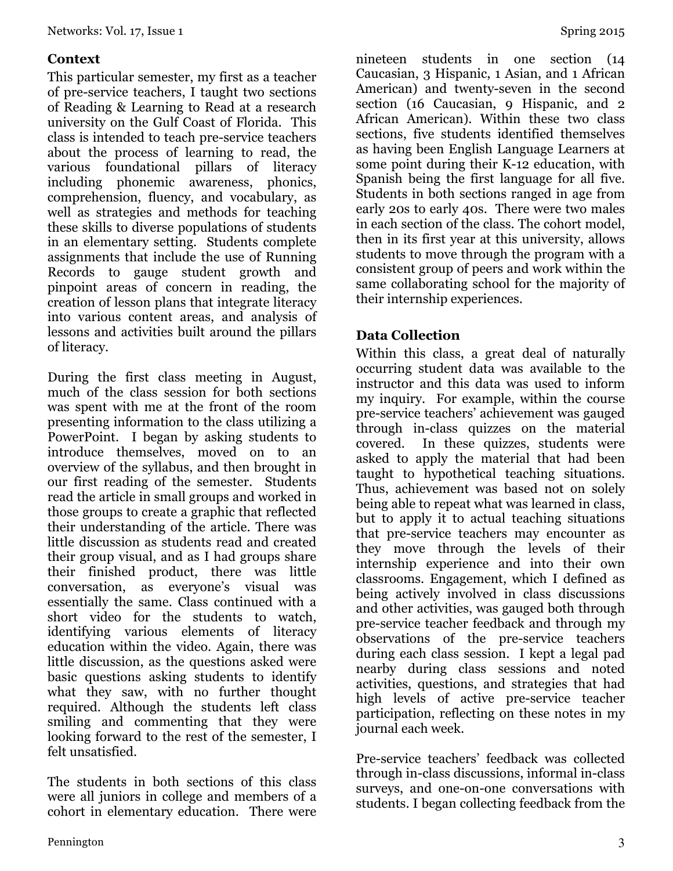#### **Context**

This particular semester, my first as a teacher of pre-service teachers, I taught two sections of Reading & Learning to Read at a research university on the Gulf Coast of Florida. This class is intended to teach pre-service teachers about the process of learning to read, the various foundational pillars of literacy including phonemic awareness, phonics, comprehension, fluency, and vocabulary, as well as strategies and methods for teaching these skills to diverse populations of students in an elementary setting. Students complete assignments that include the use of Running Records to gauge student growth and pinpoint areas of concern in reading, the creation of lesson plans that integrate literacy into various content areas, and analysis of lessons and activities built around the pillars of literacy.

During the first class meeting in August, much of the class session for both sections was spent with me at the front of the room presenting information to the class utilizing a PowerPoint. I began by asking students to introduce themselves, moved on to an overview of the syllabus, and then brought in our first reading of the semester. Students read the article in small groups and worked in those groups to create a graphic that reflected their understanding of the article. There was little discussion as students read and created their group visual, and as I had groups share their finished product, there was little conversation, as everyone's visual was essentially the same. Class continued with a short video for the students to watch, identifying various elements of literacy education within the video. Again, there was little discussion, as the questions asked were basic questions asking students to identify what they saw, with no further thought required. Although the students left class smiling and commenting that they were looking forward to the rest of the semester, I felt unsatisfied.

The students in both sections of this class were all juniors in college and members of a cohort in elementary education. There were

nineteen students in one section (14 Caucasian, 3 Hispanic, 1 Asian, and 1 African American) and twenty-seven in the second section (16 Caucasian, 9 Hispanic, and 2 African American). Within these two class sections, five students identified themselves as having been English Language Learners at some point during their K-12 education, with Spanish being the first language for all five. Students in both sections ranged in age from early 20s to early 40s. There were two males in each section of the class. The cohort model, then in its first year at this university, allows students to move through the program with a consistent group of peers and work within the same collaborating school for the majority of their internship experiences.

### **Data Collection**

Within this class, a great deal of naturally occurring student data was available to the instructor and this data was used to inform my inquiry. For example, within the course pre-service teachers' achievement was gauged through in-class quizzes on the material covered. In these quizzes, students were asked to apply the material that had been taught to hypothetical teaching situations. Thus, achievement was based not on solely being able to repeat what was learned in class, but to apply it to actual teaching situations that pre-service teachers may encounter as they move through the levels of their internship experience and into their own classrooms. Engagement, which I defined as being actively involved in class discussions and other activities, was gauged both through pre-service teacher feedback and through my observations of the pre-service teachers during each class session. I kept a legal pad nearby during class sessions and noted activities, questions, and strategies that had high levels of active pre-service teacher participation, reflecting on these notes in my journal each week.

Pre-service teachers' feedback was collected through in-class discussions, informal in-class surveys, and one-on-one conversations with students. I began collecting feedback from the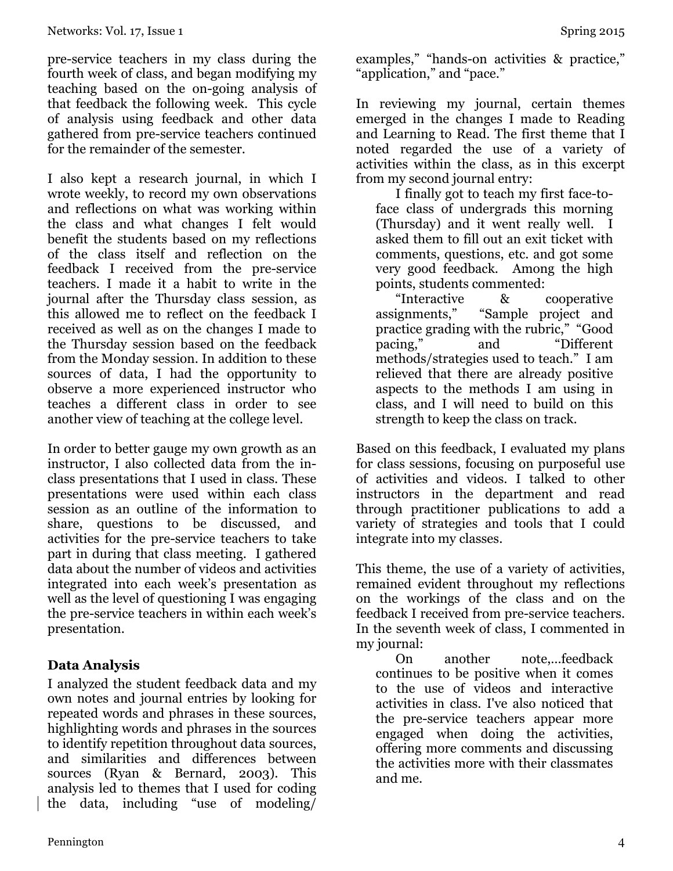pre-service teachers in my class during the fourth week of class, and began modifying my teaching based on the on-going analysis of that feedback the following week. This cycle of analysis using feedback and other data gathered from pre-service teachers continued for the remainder of the semester.

I also kept a research journal, in which I wrote weekly, to record my own observations and reflections on what was working within the class and what changes I felt would benefit the students based on my reflections of the class itself and reflection on the feedback I received from the pre-service teachers. I made it a habit to write in the journal after the Thursday class session, as this allowed me to reflect on the feedback I received as well as on the changes I made to the Thursday session based on the feedback from the Monday session. In addition to these sources of data, I had the opportunity to observe a more experienced instructor who teaches a different class in order to see another view of teaching at the college level.

In order to better gauge my own growth as an instructor, I also collected data from the inclass presentations that I used in class. These presentations were used within each class session as an outline of the information to share, questions to be discussed, and activities for the pre-service teachers to take part in during that class meeting. I gathered data about the number of videos and activities integrated into each week's presentation as well as the level of questioning I was engaging the pre-service teachers in within each week's presentation.

#### **Data Analysis**

I analyzed the student feedback data and my own notes and journal entries by looking for repeated words and phrases in these sources, highlighting words and phrases in the sources to identify repetition throughout data sources, and similarities and differences between sources (Ryan & Bernard, 2003). This analysis led to themes that I used for coding the data, including "use of modeling/

examples," "hands-on activities & practice," "application," and "pace."

In reviewing my journal, certain themes emerged in the changes I made to Reading and Learning to Read. The first theme that I noted regarded the use of a variety of activities within the class, as in this excerpt from my second journal entry:

I finally got to teach my first face-toface class of undergrads this morning (Thursday) and it went really well. I asked them to fill out an exit ticket with comments, questions, etc. and got some very good feedback. Among the high points, students commented:

"Interactive & cooperative assignments," "Sample project and practice grading with the rubric," "Good pacing," and "Different methods/strategies used to teach." I am relieved that there are already positive aspects to the methods I am using in class, and I will need to build on this strength to keep the class on track.

Based on this feedback, I evaluated my plans for class sessions, focusing on purposeful use of activities and videos. I talked to other instructors in the department and read through practitioner publications to add a variety of strategies and tools that I could integrate into my classes.

This theme, the use of a variety of activities, remained evident throughout my reflections on the workings of the class and on the feedback I received from pre-service teachers. In the seventh week of class, I commented in my journal:

On another note,…feedback continues to be positive when it comes to the use of videos and interactive activities in class. I've also noticed that the pre-service teachers appear more engaged when doing the activities, offering more comments and discussing the activities more with their classmates and me.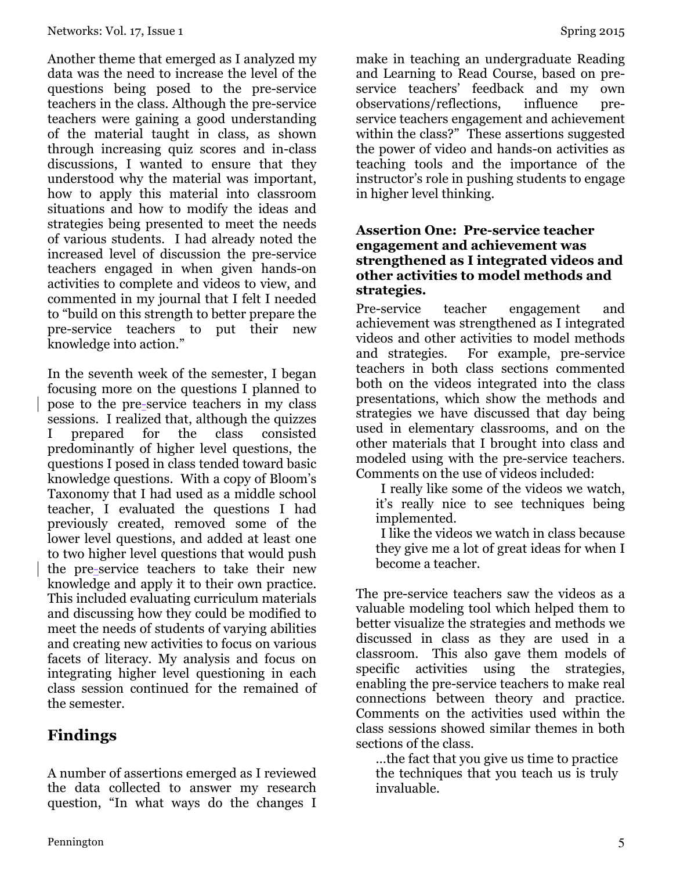Another theme that emerged as I analyzed my data was the need to increase the level of the questions being posed to the pre-service teachers in the class. Although the pre-service teachers were gaining a good understanding of the material taught in class, as shown through increasing quiz scores and in-class discussions, I wanted to ensure that they understood why the material was important, how to apply this material into classroom situations and how to modify the ideas and strategies being presented to meet the needs of various students. I had already noted the increased level of discussion the pre-service teachers engaged in when given hands-on activities to complete and videos to view, and commented in my journal that I felt I needed to "build on this strength to better prepare the pre-service teachers to put their new knowledge into action."

In the seventh week of the semester, I began focusing more on the questions I planned to pose to the pre-service teachers in my class sessions. I realized that, although the quizzes I prepared for the class consisted predominantly of higher level questions, the questions I posed in class tended toward basic knowledge questions. With a copy of Bloom's Taxonomy that I had used as a middle school teacher, I evaluated the questions I had previously created, removed some of the lower level questions, and added at least one to two higher level questions that would push the pre-service teachers to take their new knowledge and apply it to their own practice. This included evaluating curriculum materials and discussing how they could be modified to meet the needs of students of varying abilities and creating new activities to focus on various facets of literacy. My analysis and focus on integrating higher level questioning in each class session continued for the remained of the semester.

## **Findings**

A number of assertions emerged as I reviewed the data collected to answer my research question, "In what ways do the changes I

make in teaching an undergraduate Reading and Learning to Read Course, based on preservice teachers' feedback and my own observations/reflections, influence preservice teachers engagement and achievement within the class?" These assertions suggested the power of video and hands-on activities as teaching tools and the importance of the instructor's role in pushing students to engage in higher level thinking.

#### **Assertion One: Pre-service teacher engagement and achievement was strengthened as I integrated videos and other activities to model methods and strategies.**

Pre-service teacher engagement and achievement was strengthened as I integrated videos and other activities to model methods and strategies. For example, pre-service teachers in both class sections commented both on the videos integrated into the class presentations, which show the methods and strategies we have discussed that day being used in elementary classrooms, and on the other materials that I brought into class and modeled using with the pre-service teachers. Comments on the use of videos included:

I really like some of the videos we watch, it's really nice to see techniques being implemented.

I like the videos we watch in class because they give me a lot of great ideas for when I become a teacher.

The pre-service teachers saw the videos as a valuable modeling tool which helped them to better visualize the strategies and methods we discussed in class as they are used in a classroom. This also gave them models of specific activities using the strategies, enabling the pre-service teachers to make real connections between theory and practice. Comments on the activities used within the class sessions showed similar themes in both sections of the class.

…the fact that you give us time to practice the techniques that you teach us is truly invaluable.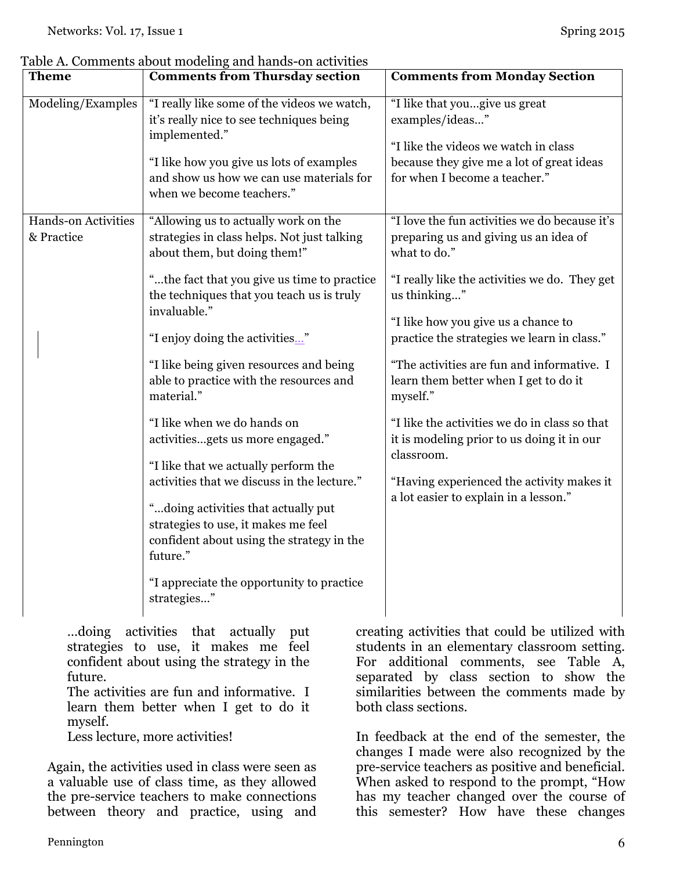| <b>Theme</b>               | <b>Comments from Thursday section</b>                                                                             | <b>Comments from Monday Section</b>                                                             |
|----------------------------|-------------------------------------------------------------------------------------------------------------------|-------------------------------------------------------------------------------------------------|
| Modeling/Examples          | "I really like some of the videos we watch,<br>it's really nice to see techniques being<br>implemented."          | "I like that yougive us great<br>examples/ideas"<br>"I like the videos we watch in class        |
|                            | "I like how you give us lots of examples<br>and show us how we can use materials for<br>when we become teachers." | because they give me a lot of great ideas<br>for when I become a teacher."                      |
| <b>Hands-on Activities</b> | "Allowing us to actually work on the                                                                              | "I love the fun activities we do because it's                                                   |
| & Practice                 | strategies in class helps. Not just talking<br>about them, but doing them!"                                       | preparing us and giving us an idea of<br>what to do."                                           |
|                            | "the fact that you give us time to practice"<br>the techniques that you teach us is truly                         | "I really like the activities we do. They get<br>us thinking"                                   |
|                            | invaluable."<br>"I enjoy doing the activities"                                                                    | "I like how you give us a chance to<br>practice the strategies we learn in class."              |
|                            | "I like being given resources and being<br>able to practice with the resources and<br>material."                  | "The activities are fun and informative. I<br>learn them better when I get to do it<br>myself." |
|                            | "I like when we do hands on                                                                                       | "I like the activities we do in class so that                                                   |
|                            | activitiesgets us more engaged."                                                                                  | it is modeling prior to us doing it in our<br>classroom.                                        |
|                            | "I like that we actually perform the                                                                              |                                                                                                 |
|                            | activities that we discuss in the lecture."                                                                       | "Having experienced the activity makes it                                                       |
|                            | "doing activities that actually put<br>strategies to use, it makes me feel                                        | a lot easier to explain in a lesson."                                                           |
|                            | confident about using the strategy in the<br>future."                                                             |                                                                                                 |
|                            | "I appreciate the opportunity to practice<br>strategies"                                                          |                                                                                                 |
| doing                      | activities that actually<br>put                                                                                   | creating activities that could be utilized with                                                 |

Table A. Comments about modeling and hands-on activities

strategies to use, it makes me feel confident about using the strategy in the future.

The activities are fun and informative. I learn them better when I get to do it myself.

Less lecture, more activities!

Again, the activities used in class were seen as a valuable use of class time, as they allowed the pre-service teachers to make connections between theory and practice, using and

creating activities that could be utilized with students in an elementary classroom setting. For additional comments, see Table A, separated by class section to show the similarities between the comments made by both class sections.

In feedback at the end of the semester, the changes I made were also recognized by the pre-service teachers as positive and beneficial. When asked to respond to the prompt, "How has my teacher changed over the course of this semester? How have these changes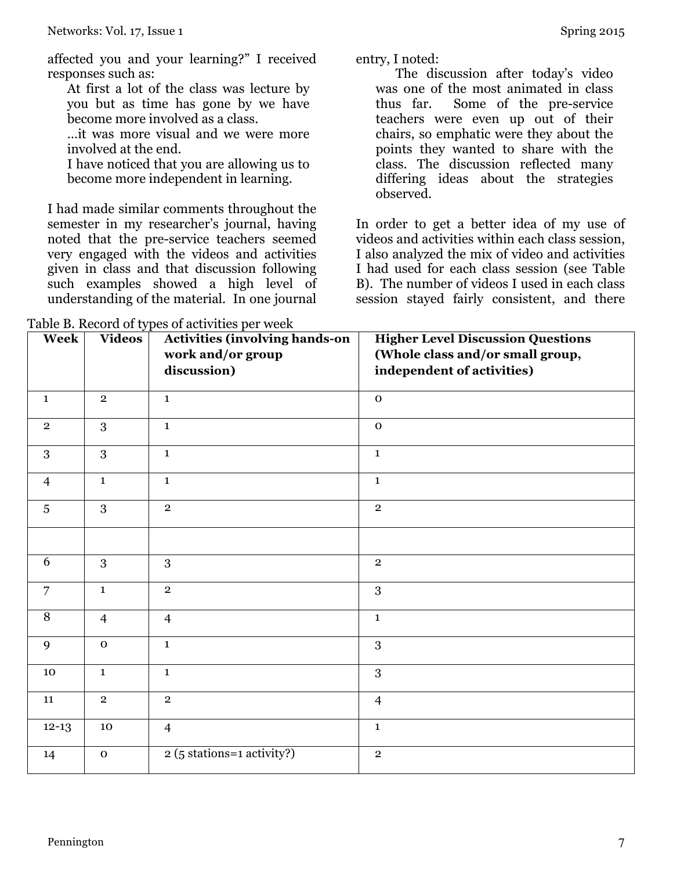affected you and your learning?" I received responses such as:

At first a lot of the class was lecture by you but as time has gone by we have become more involved as a class.

…it was more visual and we were more involved at the end.

I have noticed that you are allowing us to become more independent in learning.

I had made similar comments throughout the semester in my researcher's journal, having noted that the pre-service teachers seemed very engaged with the videos and activities given in class and that discussion following such examples showed a high level of understanding of the material. In one journal

Table B. Record of types of activities per week

entry, I noted:

The discussion after today's video was one of the most animated in class thus far. Some of the pre-service teachers were even up out of their chairs, so emphatic were they about the points they wanted to share with the class. The discussion reflected many differing ideas about the strategies observed.

In order to get a better idea of my use of videos and activities within each class session, I also analyzed the mix of video and activities I had used for each class session (see Table B). The number of videos I used in each class session stayed fairly consistent, and there

| Week           | <b>Videos</b>  | <b>Activities (involving hands-on</b><br>work and/or group<br>discussion) | <b>Higher Level Discussion Questions</b><br>(Whole class and/or small group,<br>independent of activities) |
|----------------|----------------|---------------------------------------------------------------------------|------------------------------------------------------------------------------------------------------------|
| $\mathbf{1}$   | $\overline{2}$ | $\mathbf{1}$                                                              | $\mathbf 0$                                                                                                |
| $\overline{2}$ | 3              | $\mathbf{1}$                                                              | $\mathbf 0$                                                                                                |
| 3              | 3              | $\mathbf{1}$                                                              | $\mathbf{1}$                                                                                               |
| $\overline{4}$ | $\mathbf{1}$   | $\mathbf{1}$                                                              | $\mathbf{1}$                                                                                               |
| 5              | 3              | $\overline{2}$                                                            | $\mathbf{2}$                                                                                               |
|                |                |                                                                           |                                                                                                            |
| 6              | 3              | 3                                                                         | $\mathbf{2}$                                                                                               |
| $\overline{7}$ | $\mathbf{1}$   | $\overline{2}$                                                            | 3                                                                                                          |
| 8              | $\overline{4}$ | $\overline{4}$                                                            | $\mathbf{1}$                                                                                               |
| 9              | $\mathbf{o}$   | $\mathbf{1}$                                                              | 3                                                                                                          |
| 10             | $\mathbf{1}$   | $\mathbf{1}$                                                              | 3                                                                                                          |
| 11             | $\mathbf 2$    | $\overline{2}$                                                            | $\overline{4}$                                                                                             |
| $12 - 13$      | 10             | $\overline{4}$                                                            | $\mathbf 1$                                                                                                |
| 14             | $\mathbf 0$    | 2 (5 stations=1 activity?)                                                | $\mathbf 2$                                                                                                |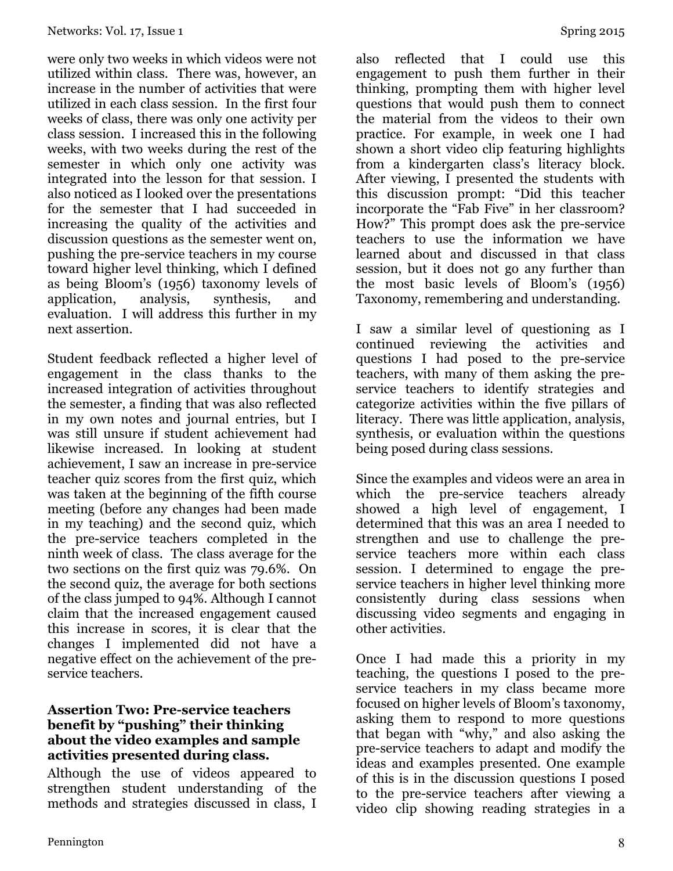were only two weeks in which videos were not utilized within class. There was, however, an increase in the number of activities that were utilized in each class session. In the first four weeks of class, there was only one activity per class session. I increased this in the following weeks, with two weeks during the rest of the semester in which only one activity was integrated into the lesson for that session. I also noticed as I looked over the presentations for the semester that I had succeeded in increasing the quality of the activities and discussion questions as the semester went on, pushing the pre-service teachers in my course toward higher level thinking, which I defined as being Bloom's (1956) taxonomy levels of application, analysis, synthesis, and evaluation. I will address this further in my next assertion.

Student feedback reflected a higher level of engagement in the class thanks to the increased integration of activities throughout the semester, a finding that was also reflected in my own notes and journal entries, but I was still unsure if student achievement had likewise increased. In looking at student achievement, I saw an increase in pre-service teacher quiz scores from the first quiz, which was taken at the beginning of the fifth course meeting (before any changes had been made in my teaching) and the second quiz, which the pre-service teachers completed in the ninth week of class. The class average for the two sections on the first quiz was 79.6%. On the second quiz, the average for both sections of the class jumped to 94%. Although I cannot claim that the increased engagement caused this increase in scores, it is clear that the changes I implemented did not have a negative effect on the achievement of the preservice teachers.

#### **Assertion Two: Pre-service teachers benefit by "pushing" their thinking about the video examples and sample activities presented during class.**

Although the use of videos appeared to strengthen student understanding of the methods and strategies discussed in class, I

also reflected that I could use this engagement to push them further in their thinking, prompting them with higher level questions that would push them to connect the material from the videos to their own practice. For example, in week one I had shown a short video clip featuring highlights from a kindergarten class's literacy block. After viewing, I presented the students with this discussion prompt: "Did this teacher incorporate the "Fab Five" in her classroom? How?" This prompt does ask the pre-service teachers to use the information we have learned about and discussed in that class session, but it does not go any further than the most basic levels of Bloom's (1956) Taxonomy, remembering and understanding.

I saw a similar level of questioning as I continued reviewing the activities and questions I had posed to the pre-service teachers, with many of them asking the preservice teachers to identify strategies and categorize activities within the five pillars of literacy. There was little application, analysis, synthesis, or evaluation within the questions being posed during class sessions.

Since the examples and videos were an area in which the pre-service teachers already showed a high level of engagement, I determined that this was an area I needed to strengthen and use to challenge the preservice teachers more within each class session. I determined to engage the preservice teachers in higher level thinking more consistently during class sessions when discussing video segments and engaging in other activities.

Once I had made this a priority in my teaching, the questions I posed to the preservice teachers in my class became more focused on higher levels of Bloom's taxonomy, asking them to respond to more questions that began with "why," and also asking the pre-service teachers to adapt and modify the ideas and examples presented. One example of this is in the discussion questions I posed to the pre-service teachers after viewing a video clip showing reading strategies in a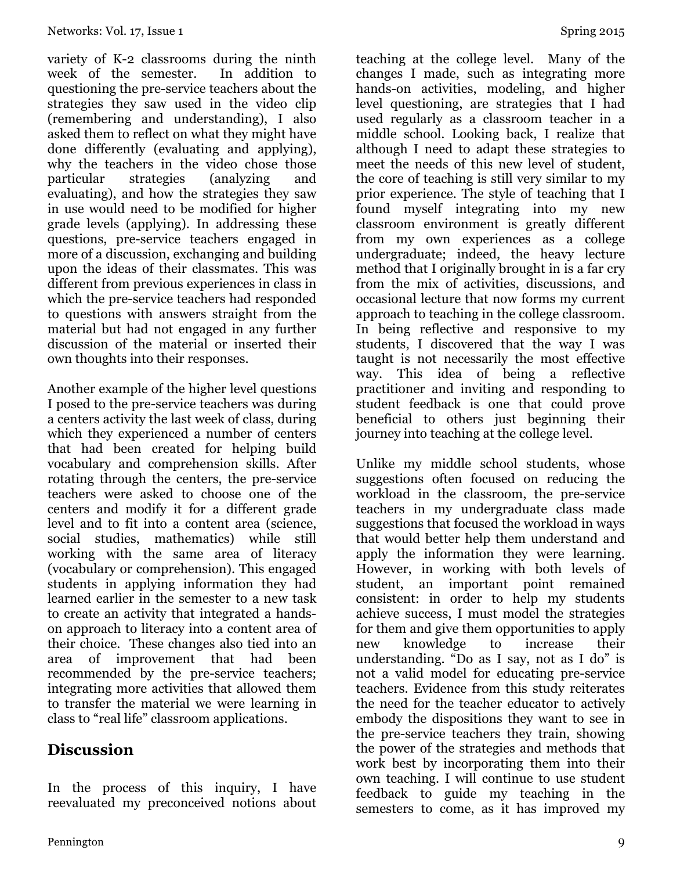variety of K-2 classrooms during the ninth week of the semester. In addition to questioning the pre-service teachers about the strategies they saw used in the video clip (remembering and understanding), I also asked them to reflect on what they might have done differently (evaluating and applying), why the teachers in the video chose those particular strategies (analyzing and evaluating), and how the strategies they saw in use would need to be modified for higher grade levels (applying). In addressing these questions, pre-service teachers engaged in more of a discussion, exchanging and building upon the ideas of their classmates. This was different from previous experiences in class in which the pre-service teachers had responded to questions with answers straight from the material but had not engaged in any further discussion of the material or inserted their own thoughts into their responses.

Another example of the higher level questions I posed to the pre-service teachers was during a centers activity the last week of class, during which they experienced a number of centers that had been created for helping build vocabulary and comprehension skills. After rotating through the centers, the pre-service teachers were asked to choose one of the centers and modify it for a different grade level and to fit into a content area (science, social studies, mathematics) while still working with the same area of literacy (vocabulary or comprehension). This engaged students in applying information they had learned earlier in the semester to a new task to create an activity that integrated a handson approach to literacy into a content area of their choice. These changes also tied into an area of improvement that had been recommended by the pre-service teachers; integrating more activities that allowed them to transfer the material we were learning in class to "real life" classroom applications.

## **Discussion**

In the process of this inquiry, I have reevaluated my preconceived notions about

teaching at the college level. Many of the changes I made, such as integrating more hands-on activities, modeling, and higher level questioning, are strategies that I had used regularly as a classroom teacher in a middle school. Looking back, I realize that although I need to adapt these strategies to meet the needs of this new level of student, the core of teaching is still very similar to my prior experience. The style of teaching that I found myself integrating into my new classroom environment is greatly different from my own experiences as a college undergraduate; indeed, the heavy lecture method that I originally brought in is a far cry from the mix of activities, discussions, and occasional lecture that now forms my current approach to teaching in the college classroom. In being reflective and responsive to my students, I discovered that the way I was taught is not necessarily the most effective way. This idea of being a reflective practitioner and inviting and responding to student feedback is one that could prove beneficial to others just beginning their journey into teaching at the college level.

Unlike my middle school students, whose suggestions often focused on reducing the workload in the classroom, the pre-service teachers in my undergraduate class made suggestions that focused the workload in ways that would better help them understand and apply the information they were learning. However, in working with both levels of student, an important point remained consistent: in order to help my students achieve success, I must model the strategies for them and give them opportunities to apply new knowledge to increase their understanding. "Do as I say, not as I do" is not a valid model for educating pre-service teachers. Evidence from this study reiterates the need for the teacher educator to actively embody the dispositions they want to see in the pre-service teachers they train, showing the power of the strategies and methods that work best by incorporating them into their own teaching. I will continue to use student feedback to guide my teaching in the semesters to come, as it has improved my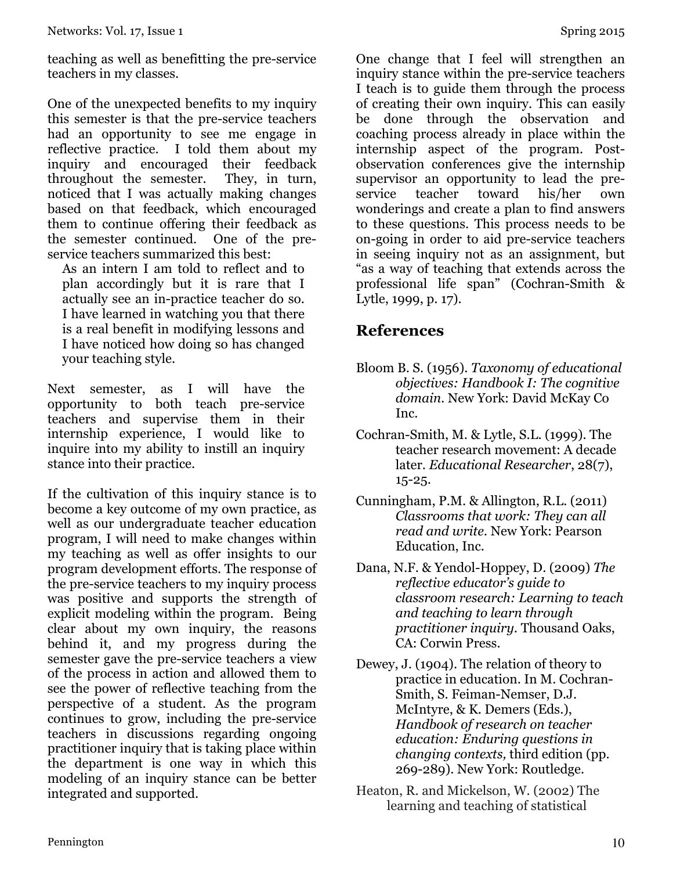teaching as well as benefitting the pre-service teachers in my classes.

One of the unexpected benefits to my inquiry this semester is that the pre-service teachers had an opportunity to see me engage in reflective practice. I told them about my inquiry and encouraged their feedback throughout the semester. They, in turn, noticed that I was actually making changes based on that feedback, which encouraged them to continue offering their feedback as the semester continued. One of the preservice teachers summarized this best:

As an intern I am told to reflect and to plan accordingly but it is rare that I actually see an in-practice teacher do so. I have learned in watching you that there is a real benefit in modifying lessons and I have noticed how doing so has changed your teaching style.

Next semester, as I will have the opportunity to both teach pre-service teachers and supervise them in their internship experience, I would like to inquire into my ability to instill an inquiry stance into their practice.

If the cultivation of this inquiry stance is to become a key outcome of my own practice, as well as our undergraduate teacher education program, I will need to make changes within my teaching as well as offer insights to our program development efforts. The response of the pre-service teachers to my inquiry process was positive and supports the strength of explicit modeling within the program. Being clear about my own inquiry, the reasons behind it, and my progress during the semester gave the pre-service teachers a view of the process in action and allowed them to see the power of reflective teaching from the perspective of a student. As the program continues to grow, including the pre-service teachers in discussions regarding ongoing practitioner inquiry that is taking place within the department is one way in which this modeling of an inquiry stance can be better integrated and supported.

One change that I feel will strengthen an inquiry stance within the pre-service teachers I teach is to guide them through the process of creating their own inquiry. This can easily be done through the observation and coaching process already in place within the internship aspect of the program. Postobservation conferences give the internship supervisor an opportunity to lead the preservice teacher toward his/her own wonderings and create a plan to find answers to these questions. This process needs to be on-going in order to aid pre-service teachers in seeing inquiry not as an assignment, but "as a way of teaching that extends across the

## **References**

Lytle, 1999, p. 17).

Bloom B. S. (1956). *Taxonomy of educational objectives: Handbook I: The cognitive domain.* New York: David McKay Co Inc.

professional life span" (Cochran-Smith &

- Cochran-Smith, M. & Lytle, S.L. (1999). The teacher research movement: A decade later. *Educational Researcher*, 28(7), 15-25.
- Cunningham, P.M. & Allington, R.L. (2011) *Classrooms that work: They can all read and write.* New York: Pearson Education, Inc.
- Dana, N.F. & Yendol-Hoppey, D. (2009) *The reflective educator's guide to classroom research: Learning to teach and teaching to learn through practitioner inquiry.* Thousand Oaks, CA: Corwin Press.
- Dewey, J. (1904). The relation of theory to practice in education. In M. Cochran-Smith, S. Feiman-Nemser, D.J. McIntyre, & K. Demers (Eds.), *Handbook of research on teacher education: Enduring questions in changing contexts,* third edition (pp. 269-289). New York: Routledge.
- Heaton, R. and Mickelson, W. (2002) The learning and teaching of statistical